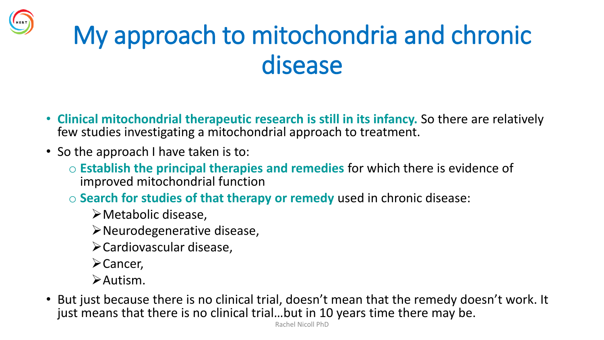#### My approach to mitochondria and chronic disease

- **Clinical mitochondrial therapeutic research is still in its infancy.** So there are relatively few studies investigating a mitochondrial approach to treatment.
- So the approach I have taken is to:
	- o **Establish the principal therapies and remedies** for which there is evidence of improved mitochondrial function
	- o **Search for studies of that therapy or remedy** used in chronic disease:
		- ➢Metabolic disease,
		- ➢Neurodegenerative disease,
		- ➢Cardiovascular disease,
		- ➢Cancer,
		- ➢Autism.
- But just because there is no clinical trial, doesn't mean that the remedy doesn't work. It just means that there is no clinical trial…but in 10 years time there may be.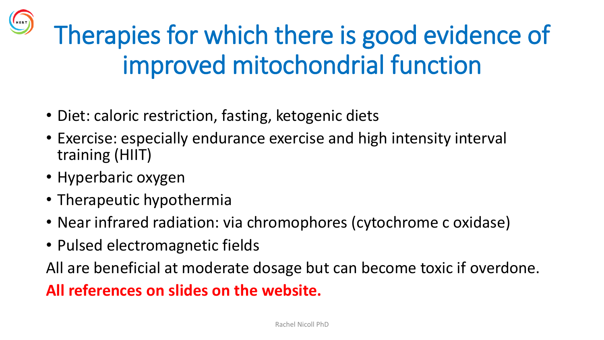Therapies for which there is good evidence of improved mitochondrial function

- Diet: caloric restriction, fasting, ketogenic diets
- Exercise: especially endurance exercise and high intensity interval training (HIIT)
- Hyperbaric oxygen

HERT

- Therapeutic hypothermia
- Near infrared radiation: via chromophores (cytochrome c oxidase)
- Pulsed electromagnetic fields

All are beneficial at moderate dosage but can become toxic if overdone.

#### **All references on slides on the website.**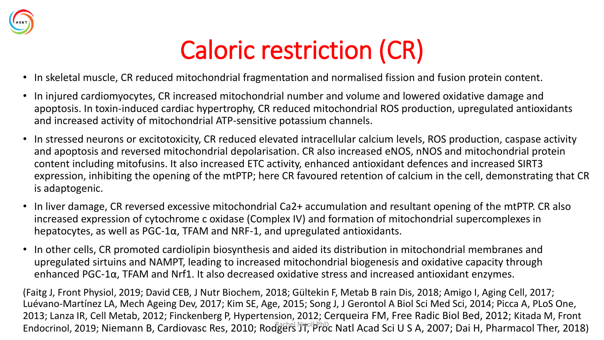

#### Caloric restriction (CR)

- In skeletal muscle, CR reduced mitochondrial fragmentation and normalised fission and fusion protein content.
- In injured cardiomyocytes, CR increased mitochondrial number and volume and lowered oxidative damage and apoptosis. In toxin-induced cardiac hypertrophy, CR reduced mitochondrial ROS production, upregulated antioxidants and increased activity of mitochondrial ATP-sensitive potassium channels.
- In stressed neurons or excitotoxicity, CR reduced elevated intracellular calcium levels, ROS production, caspase activity and apoptosis and reversed mitochondrial depolarisation. CR also increased eNOS, nNOS and mitochondrial protein content including mitofusins. It also increased ETC activity, enhanced antioxidant defences and increased SIRT3 expression, inhibiting the opening of the mtPTP; here CR favoured retention of calcium in the cell, demonstrating that CR is adaptogenic.
- In liver damage, CR reversed excessive mitochondrial Ca2+ accumulation and resultant opening of the mtPTP. CR also increased expression of cytochrome c oxidase (Complex IV) and formation of mitochondrial supercomplexes in hepatocytes, as well as  $PGC-1\alpha$ , TFAM and NRF-1, and upregulated antioxidants.
- In other cells, CR promoted cardiolipin biosynthesis and aided its distribution in mitochondrial membranes and upregulated sirtuins and NAMPT, leading to increased mitochondrial biogenesis and oxidative capacity through enhanced PGC-1α, TFAM and Nrf1. It also decreased oxidative stress and increased antioxidant enzymes.

(Faitg J, Front Physiol, 2019; David CEB, J Nutr Biochem, 2018; Gültekin F, Metab B rain Dis, 2018; Amigo I, Aging Cell, 2017; Luévano-Martínez LA, Mech Ageing Dev, 2017; Kim SE, Age, 2015; Song J, J Gerontol A Biol Sci Med Sci, 2014; Picca A, PLoS One, 2013; Lanza IR, Cell Metab, 2012; Finckenberg P, Hypertension, 2012; Cerqueira FM, Free Radic Biol Bed, 2012; Kitada M, Front Endocrinol, 2019; Niemann B, Cardiovasc Res, 2010; Rodgers Jifell PhDc Natl Acad Sci U S A, 2007; Dai H, Pharmacol Ther, 2018)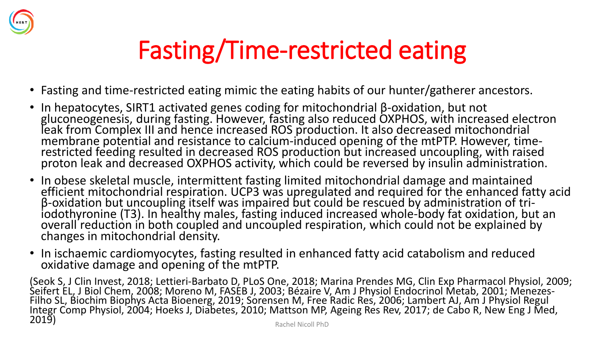

### Fasting/Time-restricted eating

- Fasting and time-restricted eating mimic the eating habits of our hunter/gatherer ancestors.
- In hepatocytes, SIRT1 activated genes coding for mitochondrial β-oxidation, but not gluconeogenesis, during fasting. However, fasting also reduced OXPHOS, with increased electron leak from Complex III and hence increased ROS production. It also decreased mitochondrial membrane potential and resistance to calcium-induced opening of the mtPTP. However, timerestricted feeding resulted in decreased ROS production but increased uncoupling, with raised proton leak and decreased OXPHOS activity, which could be reversed by insulin administration.
- In obese skeletal muscle, intermittent fasting limited mitochondrial damage and maintained efficient mitochondrial respiration. UCP3 was upregulated and required for the enhanced fatty acid β-oxidation but uncoupling itself was impaired but could be rescued by administration of triiodothyronine (T3). In healthy males, fasting induced increased whole-body fat oxidation, but an overall reduction in both coupled and uncoupled respiration, which could not be explained by changes in mitochondrial density.
- In ischaemic cardiomyocytes, fasting resulted in enhanced fatty acid catabolism and reduced oxidative damage and opening of the mtPTP.

(Seok S, J Clin Invest, 2018; Lettieri-Barbato D, PLoS One, 2018; Marina Prendes MG, Clin Exp Pharmacol Physiol, 2009; Seifert EL, J Biol Chem, 2008; Moreno M, FASEB J, 2003; Bézaire V, Am J Physiol Endocrinol Metab, 2001; Menezes-Filho SL, Biochim Biophys Acta Bioenerg, 2019; Sorensen M, Free Radic Res, 2006; Lambert AJ, Am J Physiol Regul Integr Comp Physiol, 2004; Hoeks J, Diabetes, 2010; Mattson MP, Ageing Res Rev, 2017; de Cabo R, New Eng J Med, and **2019)** Rachel Nicoll PhD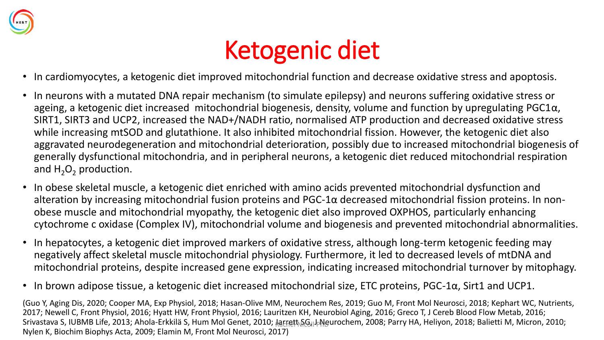

#### Ketogenic diet

- In cardiomyocytes, a ketogenic diet improved mitochondrial function and decrease oxidative stress and apoptosis.
- In neurons with a mutated DNA repair mechanism (to simulate epilepsy) and neurons suffering oxidative stress or ageing, a ketogenic diet increased mitochondrial biogenesis, density, volume and function by upregulating  $PGC1\alpha$ , SIRT1, SIRT3 and UCP2, increased the NAD+/NADH ratio, normalised ATP production and decreased oxidative stress while increasing mtSOD and glutathione. It also inhibited mitochondrial fission. However, the ketogenic diet also aggravated neurodegeneration and mitochondrial deterioration, possibly due to increased mitochondrial biogenesis of generally dysfunctional mitochondria, and in peripheral neurons, a ketogenic diet reduced mitochondrial respiration and  $H_2O_2$  production.
- In obese skeletal muscle, a ketogenic diet enriched with amino acids prevented mitochondrial dysfunction and alteration by increasing mitochondrial fusion proteins and PGC-1α decreased mitochondrial fission proteins. In nonobese muscle and mitochondrial myopathy, the ketogenic diet also improved OXPHOS, particularly enhancing cytochrome c oxidase (Complex IV), mitochondrial volume and biogenesis and prevented mitochondrial abnormalities.
- In hepatocytes, a ketogenic diet improved markers of oxidative stress, although long-term ketogenic feeding may negatively affect skeletal muscle mitochondrial physiology. Furthermore, it led to decreased levels of mtDNA and mitochondrial proteins, despite increased gene expression, indicating increased mitochondrial turnover by mitophagy.
- In brown adipose tissue, a ketogenic diet increased mitochondrial size, ETC proteins, PGC-1α, Sirt1 and UCP1.

(Guo Y, Aging Dis, 2020; Cooper MA, Exp Physiol, 2018; Hasan-Olive MM, Neurochem Res, 2019; Guo M, Front Mol Neurosci, 2018; Kephart WC, Nutrients, 2017; Newell C, Front Physiol, 2016; Hyatt HW, Front Physiol, 2016; Lauritzen KH, Neurobiol Aging, 2016; Greco T, J Cereb Blood Flow Metab, 2016; Srivastava S, IUBMB Life, 2013; Ahola-Erkkilä S, Hum Mol Genet, 2010; 枳trɛthմGulþNeurochem, 2008; Parry HA, Heliyon, 2018; Balietti M, Micron, 2010; Nylen K, Biochim Biophys Acta, 2009; Elamin M, Front Mol Neurosci, 2017)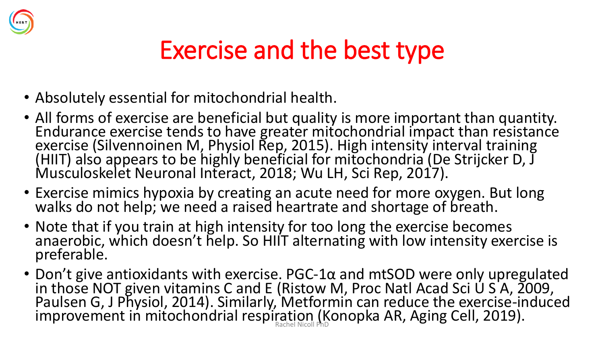

#### Exercise and the best type

- Absolutely essential for mitochondrial health.
- All forms of exercise are beneficial but quality is more important than quantity. Endurance exercise tends to have greater mitochondrial impact than resistance exercise (Silvennoinen M, Physiol Rep, 2015). High intensity interval training (HIIT) also appears to be highly beneficial for mitochondria (De Strijcker D, J Musculoskelet Neuronal Interact, 2018; Wu LH, Sci Rep, 2017).
- Exercise mimics hypoxia by creating an acute need for more oxygen. But long walks do not help; we need a raised heartrate and shortage of breath.
- Note that if you train at high intensity for too long the exercise becomes anaerobic, which doesn't help. So HIIT alternating with low intensity exercise is preferable.
- Don't give antioxidants with exercise. PGC-1α and mtSOD were only upregulated in those NOT given vitamins C and E (Ristow M, Proc Natl Acad Sci U S A, 2009, Paulsen G, J Physiol, 2014). Similarly, Metformin can reduce the exercise-induced improvement in mitochondrial respiration (Konopka AR, Aging Cell, 2019).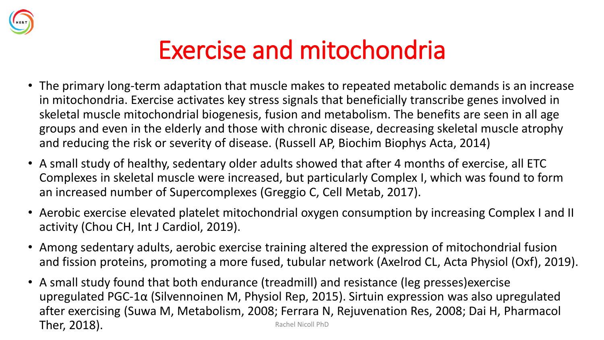

#### Exercise and mitochondria

- The primary long-term adaptation that muscle makes to repeated metabolic demands is an increase in mitochondria. Exercise activates key stress signals that beneficially transcribe genes involved in skeletal muscle mitochondrial biogenesis, fusion and metabolism. The benefits are seen in all age groups and even in the elderly and those with chronic disease, decreasing skeletal muscle atrophy and reducing the risk or severity of disease. (Russell AP, Biochim Biophys Acta, 2014)
- A small study of healthy, sedentary older adults showed that after 4 months of exercise, all ETC Complexes in skeletal muscle were increased, but particularly Complex I, which was found to form an increased number of Supercomplexes (Greggio C, Cell Metab, 2017).
- Aerobic exercise elevated platelet mitochondrial oxygen consumption by increasing Complex I and II activity (Chou CH, Int J Cardiol, 2019).
- Among sedentary adults, aerobic exercise training altered the expression of mitochondrial fusion and fission proteins, promoting a more fused, tubular network (Axelrod CL, Acta Physiol (Oxf), 2019).
- A small study found that both endurance (treadmill) and resistance (leg presses)exercise upregulated PGC-1α (Silvennoinen M, Physiol Rep, 2015). Sirtuin expression was also upregulated after exercising (Suwa M, Metabolism, 2008; Ferrara N, Rejuvenation Res, 2008; Dai H, Pharmacol Ther, 2018). The results of the set of the set of the set of the set of the set of the set of the set of the set of the set of the set of the set of the set of the set of the set of the set of the set of the set of the set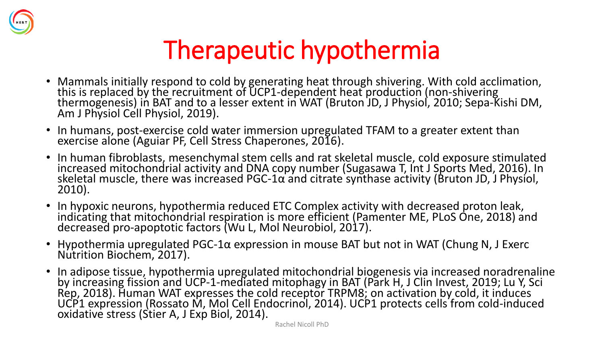

#### Therapeutic hypothermia

- Mammals initially respond to cold by generating heat through shivering. With cold acclimation, this is replaced by the recruitment of UCP1-dependent heat production (non-shivering thermogenesis) in BAT and to a lesser extent in WAT (Bruton JD, J Physiol, 2010; Sepa-Kishi DM, Am J Physiol Cell Physiol, 2019).
- In humans, post-exercise cold water immersion upregulated TFAM to a greater extent than exercise alone (Aguiar PF, Cell Stress Chaperones, 2016).
- In human fibroblasts, mesenchymal stem cells and rat skeletal muscle, cold exposure stimulated increased mitochondrial activity and DNA copy number (Sugasawa T, Int J Sports Med, 2016). In skeletal muscle, there was increased PGC-1α and citrate synthase activity (Bruton JD, J Physiol,  $\,$ 2010).
- In hypoxic neurons, hypothermia reduced ETC Complex activity with decreased proton leak, indicating that mitochondrial respiration is more efficient (Pamenter ME, PLoS One, 2018) and decreased pro-apoptotic factors (Wu L, Mol Neurobiol, 2017).
- Hypothermia upregulated PGC-1α expression in mouse BAT but not in WAT (Chung N, J Exerc Nutrition Biochem, 2017).
- In adipose tissue, hypothermia upregulated mitochondrial biogenesis via increased noradrenaline by increasing fission and UCP-1-mediated mitophagy in BAT (Park H, J Clin Invest, 2019; Lu Y, Sci Rep, 2018). Human WAT expresses the cold receptor TRPM8; on activation by cold, it induces UCP1 expression (Rossato M, Mol Cell Endocrinol, 2014). UCP1 protects cells from cold-induced oxidative stress (Stier A, J Exp Biol, 2014).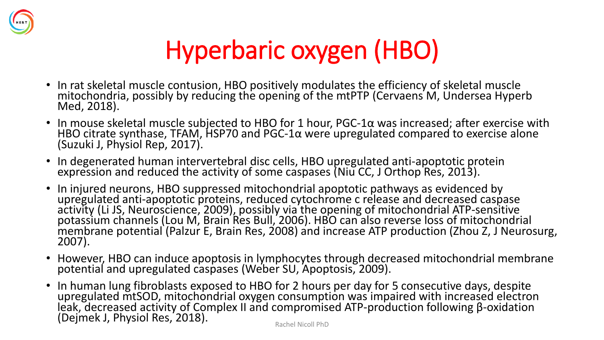

## Hyperbaric oxygen (HBO)

- In rat skeletal muscle contusion, HBO positively modulates the efficiency of skeletal muscle mitochondria, possibly by reducing the opening of the mtPTP (Cervaens M, Undersea Hyperb Med, 2018).
- In mouse skeletal muscle subjected to HBO for 1 hour, PGC-1α was increased; after exercise with HBO citrate synthase, TFAM, HSP70 and PGC-1α were upregulated compared to exercise alone (Suzuki J, Physiol Rep, 2017).
- In degenerated human intervertebral disc cells, HBO upregulated anti-apoptotic protein expression and reduced the activity of some caspases (Niu CC, J Orthop Res, 2013).
- In injured neurons, HBO suppressed mitochondrial apoptotic pathways as evidenced by upregulated anti-apoptotic proteins, reduced cytochrome c release and decreased caspase activity (Li JS, Neuroscience, 2009), possibly via the opening of mitochondrial ATP-sensitive potassium channels (Lou M, Brain Res Bull, 2006). HBO can also reverse loss of mitochondrial membrane potential (Palzur E, Brain Res, 2008) and increase ATP production (Zhou Z, J Neurosurg, 2007).
- However, HBO can induce apoptosis in lymphocytes through decreased mitochondrial membrane potential and upregulated caspases (Weber SU, Apoptosis, 2009).
- In human lung fibroblasts exposed to HBO for 2 hours per day for 5 consecutive days, despite upregulated mtSOD, mitochondrial oxygen consumption was impaired with increased electron leak, decreased activity of Complex II and compromised ATP-production following β-oxidation (Dejmek J, Physiol Res, 2018).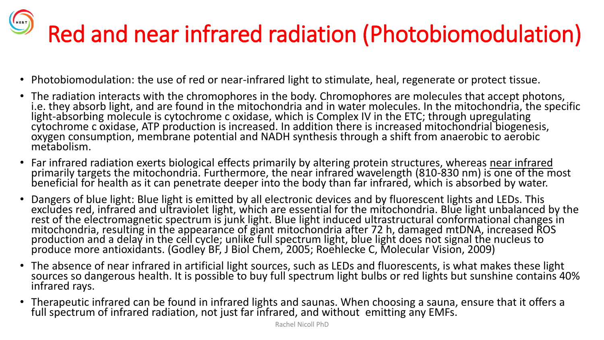## Red and near infrared radiation (Photobiomodulation)

- Photobiomodulation: the use of red or near-infrared light to stimulate, heal, regenerate or protect tissue.
- The radiation interacts with the chromophores in the body. Chromophores are molecules that accept photons, i.e. they absorb light, and are found in the mitochondria and in water molecules. In the mitochondria, the specific light-absorbing molecule is cytochrome c oxidase, which is Complex IV in the ETC; through upregulating cytochrome c oxidase, ATP production is increased. In addition there is increased mitochondrial biogenesis, oxygen consumption, membrane potential and NADH synthesis through a shift from anaerobic to aerobic metabolism.
- Far infrared radiation exerts biological effects primarily by altering protein structures, whereas near infrared primarily targets the mitochondria. Furthermore, the near infrared wavelength (810-830 nm) is one of the most beneficial for health as it can penetrate deeper into the body than far infrared, which is absorbed by water.
- Dangers of blue light: Blue light is emitted by all electronic devices and by fluorescent lights and LEDs. This excludes red, infrared and ultraviolet light, which are essential for the mitochondria. Blue light unbalanced by the rest of the electromagnetic spectrum is junk light. Blue light induced ultrastructural conformational changes in mitochondria, resulting in the appearance of giant mitochondria after 72 h, damaged mtDNA, increased ROS production and a delay in the cell cycle; unlike full spectrum light, blue light does not signal the nucleus to produce more antioxidants. (Godley BF, J Biol Chem, 2005; Roehlecke C, Molecular Vision, 2009)
- The absence of near infrared in artificial light sources, such as LEDs and fluorescents, is what makes these light sources so dangerous health. It is possible to buy full spectrum light bulbs or red lights but sunshine contains 40% infrared rays.
- Therapeutic infrared can be found in infrared lights and saunas. When choosing a sauna, ensure that it offers a full spectrum of infrared radiation, not just far infrared, and without emitting any EMFs.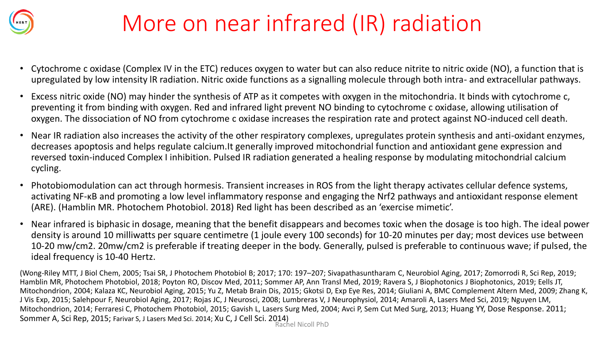

#### More on near infrared (IR) radiation

- Cytochrome c oxidase (Complex IV in the ETC) reduces oxygen to water but can also reduce nitrite to nitric oxide (NO), a function that is upregulated by low intensity lR radiation. Nitric oxide functions as a signalling molecule through both intra- and extracellular pathways.
- Excess nitric oxide (NO) may hinder the synthesis of ATP as it competes with oxygen in the mitochondria. It binds with cytochrome c, preventing it from binding with oxygen. Red and infrared light prevent NO binding to cytochrome c oxidase, allowing utilisation of oxygen. The dissociation of NO from cytochrome c oxidase increases the respiration rate and protect against NO-induced cell death.
- Near IR radiation also increases the activity of the other respiratory complexes, upregulates protein synthesis and anti-oxidant enzymes, decreases apoptosis and helps regulate calcium.It generally improved mitochondrial function and antioxidant gene expression and reversed toxin-induced Complex I inhibition. Pulsed IR radiation generated a healing response by modulating mitochondrial calcium cycling.
- Photobiomodulation can act through hormesis. Transient increases in ROS from the light therapy activates cellular defence systems, activating NF-κB and promoting a low level inflammatory response and engaging the Nrf2 pathways and antioxidant response element (ARE). (Hamblin MR. Photochem Photobiol. 2018) Red light has been described as an 'exercise mimetic'.
- Near infrared is biphasic in dosage, meaning that the benefit disappears and becomes toxic when the dosage is too high. The ideal power density is around 10 milliwatts per square centimetre (1 joule every 100 seconds) for 10-20 minutes per day; most devices use between 10-20 mw/cm2. 20mw/cm2 is preferable if treating deeper in the body. Generally, pulsed is preferable to continuous wave; if pulsed, the ideal frequency is 10-40 Hertz.

(Wong-Riley MTT, J Biol Chem, 2005; Tsai SR, J Photochem Photobiol B; 2017; 170: 197–207; Sivapathasuntharam C, Neurobiol Aging, 2017; Zomorrodi R, Sci Rep, 2019; Hamblin MR, Photochem Photobiol, 2018; Poyton RO, Discov Med, 2011; Sommer AP, Ann Transl Med, 2019; Ravera S, J Biophotonics J Biophotonics, 2019; Eells JT, Mitochondrion, 2004; Kalaza KC, Neurobiol Aging, 2015; Yu Z, Metab Brain Dis, 2015; Gkotsi D, Exp Eye Res, 2014; Giuliani A, BMC Complement Altern Med, 2009; Zhang K, J Vis Exp, 2015; Salehpour F, Neurobiol Aging, 2017; Rojas JC, J Neurosci, 2008; Lumbreras V, J Neurophysiol, 2014; Amaroli A, Lasers Med Sci, 2019; Nguyen LM, Mitochondrion, 2014; Ferraresi C, Photochem Photobiol, 2015; Gavish L, Lasers Surg Med, 2004; Avci P, Sem Cut Med Surg, 2013; Huang YY, Dose Response. 2011; Sommer A, Sci Rep, 2015; Farivar S, J Lasers Med Sci. 2014; Xu C, J Cell Sci. 2014) Rachel Nicoll PhD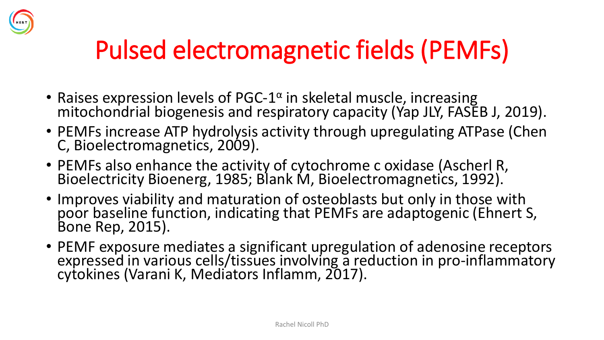

#### Pulsed electromagnetic fields (PEMFs)

- Raises expression levels of PGC-1<sup>a</sup> in skeletal muscle, increasing mitochondrial biogenesis and respiratory capacity (Yap JLY, FASEB J, 2019).
- PEMFs increase ATP hydrolysis activity through upregulating ATPase (Chen C, Bioelectromagnetics, 2009).
- PEMFs also enhance the activity of cytochrome c oxidase (Ascherl R, Bioelectricity Bioenerg, 1985; Blank M, Bioelectromagnetics, 1992).
- Improves viability and maturation of osteoblasts but only in those with poor baseline function, indicating that PEMFs are adaptogenic (Ehnert S, Bone Rep, 2015).
- PEMF exposure mediates a significant upregulation of adenosine receptors expressed in various cells/tissues involving a reduction in pro-inflammatory cytokines (Varani K, Mediators Inflamm, 2017).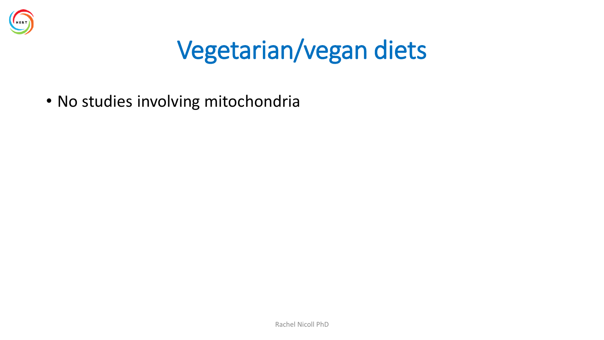

#### Vegetarian/vegan diets

• No studies involving mitochondria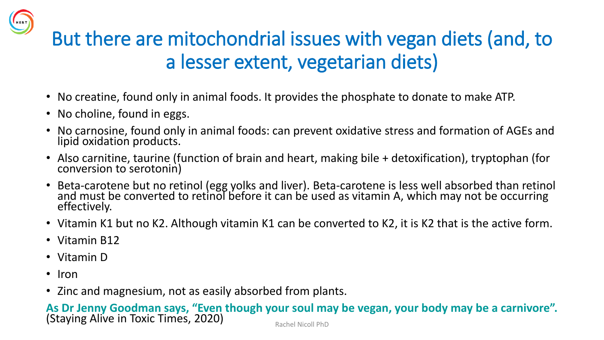

- No creatine, found only in animal foods. It provides the phosphate to donate to make ATP.
- No choline, found in eggs.
- No carnosine, found only in animal foods: can prevent oxidative stress and formation of AGEs and lipid oxidation products.
- Also carnitine, taurine (function of brain and heart, making bile + detoxification), tryptophan (for conversion to serotonin)
- Beta-carotene but no retinol (egg yolks and liver). Beta-carotene is less well absorbed than retinol and must be converted to retinol before it can be used as vitamin A, which may not be occurring effectively.
- Vitamin K1 but no K2. Although vitamin K1 can be converted to K2, it is K2 that is the active form.
- Vitamin B12
- Vitamin D
- Iron
- Zinc and magnesium, not as easily absorbed from plants.

**As Dr Jenny Goodman says, "Even though your soul may be vegan, your body may be a carnivore".**  (Staying Alive in Toxic Times, 2020)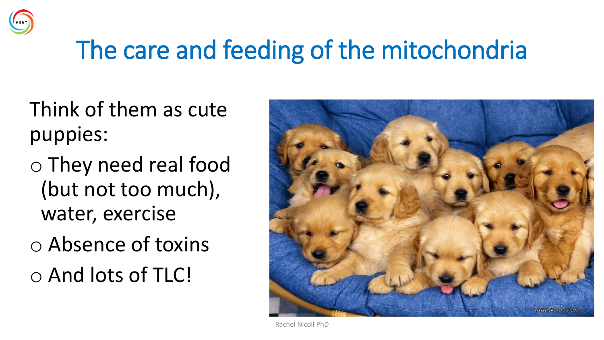

#### The care and feeding of the mitochondria

- Think of them as cute puppies:
- o They need real food (but not too much), water, exercise o Absence of toxins o And lots of TLC!



Rachel Nicoll PhD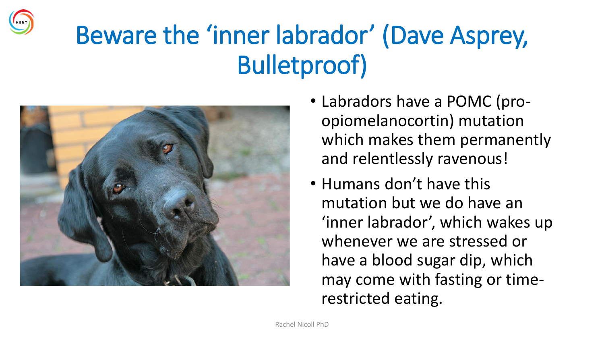

#### Beware the 'inner labrador' (Dave Asprey, Bulletproof)



- Labradors have a POMC (proopiomelanocortin) mutation which makes them permanently and relentlessly ravenous!
- Humans don't have this mutation but we do have an 'inner labrador', which wakes up whenever we are stressed or have a blood sugar dip, which may come with fasting or timerestricted eating.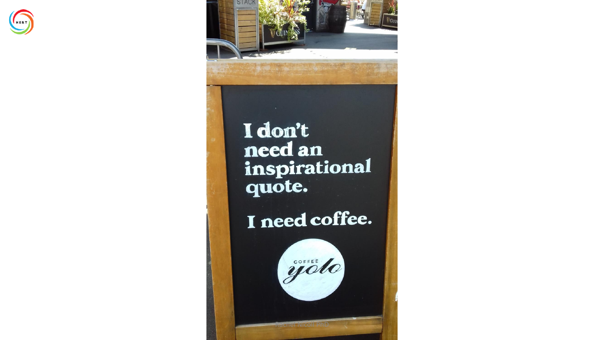

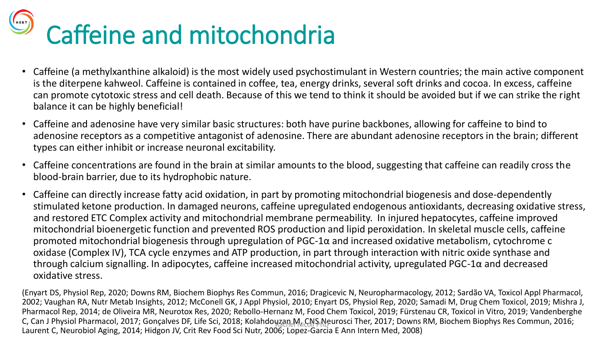# Caffeine and mitochondria

- Caffeine (a methylxanthine alkaloid) is the most widely used psychostimulant in Western countries; the main active component is the diterpene kahweol. Caffeine is contained in coffee, tea, energy drinks, several soft drinks and cocoa. In excess, caffeine can promote cytotoxic stress and cell death. Because of this we tend to think it should be avoided but if we can strike the right balance it can be highly beneficial!
- Caffeine and adenosine have very similar basic structures: both have purine backbones, allowing for caffeine to bind to adenosine receptors as a competitive antagonist of adenosine. There are abundant adenosine receptors in the brain; different types can either inhibit or increase neuronal excitability.
- Caffeine concentrations are found in the brain at similar amounts to the blood, suggesting that caffeine can readily cross the blood-brain barrier, due to its hydrophobic nature.
- Caffeine can directly increase fatty acid oxidation, in part by promoting mitochondrial biogenesis and dose-dependently stimulated ketone production. In damaged neurons, caffeine upregulated endogenous antioxidants, decreasing oxidative stress, and restored ETC Complex activity and mitochondrial membrane permeability. In injured hepatocytes, caffeine improved mitochondrial bioenergetic function and prevented ROS production and lipid peroxidation. In skeletal muscle cells, caffeine promoted mitochondrial biogenesis through upregulation of PGC-1α and increased oxidative metabolism, cytochrome c oxidase (Complex IV), TCA cycle enzymes and ATP production, in part through interaction with nitric oxide synthase and through calcium signalling. In adipocytes, caffeine increased mitochondrial activity, upregulated PGC-1α and decreased oxidative stress.

(Enyart DS, Physiol Rep, 2020; Downs RM, Biochem Biophys Res Commun, 2016; Dragicevic N, Neuropharmacology, 2012; Sardão VA, Toxicol Appl Pharmacol, 2002; Vaughan RA, Nutr Metab Insights, 2012; McConell GK, J Appl Physiol, 2010; Enyart DS, Physiol Rep, 2020; Samadi M, Drug Chem Toxicol, 2019; Mishra J, Pharmacol Rep, 2014; de Oliveira MR, Neurotox Res, 2020; Rebollo-Hernanz M, Food Chem Toxicol, 2019; Fürstenau CR, Toxicol in Vitro, 2019; Vandenberghe C, Can J Physiol Pharmacol, 2017; Gonçalves DF, Life Sci, 2018; Kolahdouzan MiCNS Neurosci Ther, 2017; Downs RM, Biochem Biophys Res Commun, 2016;<br>. Laurent C, Neurobiol Aging, 2014; Hidgon JV, Crit Rev Food Sci Nutr, 2006; Lopez-Garcia E Ann Intern Med, 2008)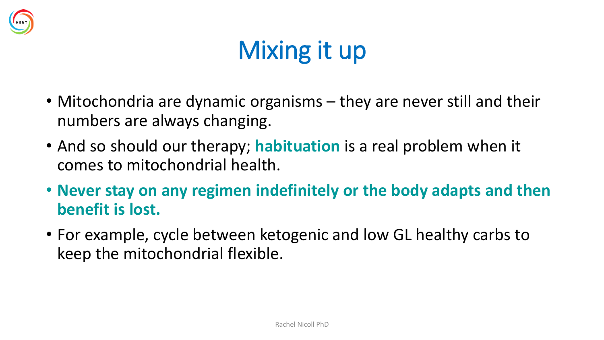

### Mixing it up

- Mitochondria are dynamic organisms they are never still and their numbers are always changing.
- And so should our therapy; **habituation** is a real problem when it comes to mitochondrial health.
- **Never stay on any regimen indefinitely or the body adapts and then benefit is lost.**
- For example, cycle between ketogenic and low GL healthy carbs to keep the mitochondrial flexible.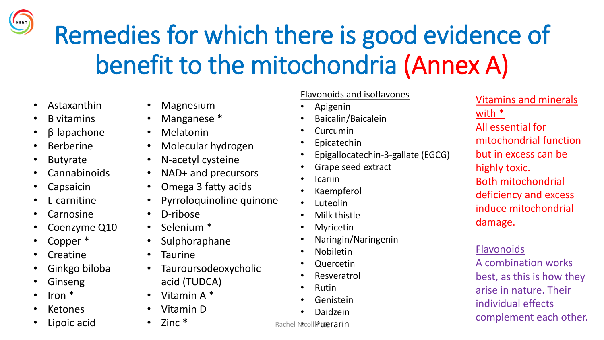Remedies for which there is good evidence of benefit to the mitochondria (Annex A)

- Astaxanthin
- B vitamins
- β-lapachone
- **Berberine**
- **Butyrate**
- Cannabinoids
- **Capsaicin**
- L-carnitine
- **Carnosine**
- Coenzyme Q10
- Copper \*
- **Creatine**
- Ginkgo biloba
- **Ginseng**
- Iron \*
- **Ketones**
- Lipoic acid
- **Magnesium**
- Manganese \*
- Melatonin
- Molecular hydrogen
- N-acetyl cysteine
- NAD+ and precursors
- Omega 3 fatty acids
- Pyrroloquinoline quinone
- D-ribose
- Selenium \*
- Sulphoraphane
- Taurine
- Tauroursodeoxycholic acid (TUDCA)
- Vitamin A \*
- Vitamin D
- Zinc \*

#### Flavonoids and isoflavones

- Apigenin
- Baicalin/Baicalein
- Curcumin
- **Epicatechin**
- Epigallocatechin-3-gallate (EGCG)
- Grape seed extract
- Icariin
- Kaempferol
- Luteolin
- Milk thistle
- Myricetin
- Naringin/Naringenin
- Nobiletin
- Quercetin
- **Resveratrol**
- Rutin
- **Genistein**
- Daidzein

Vitamins and minerals with \* All essential for mitochondrial function but in excess can be highly toxic. Both mitochondrial deficiency and excess induce mitochondrial damage.

#### **Flavonoids**

A combination works best, as this is how they arise in nature. Their individual effects complement each other.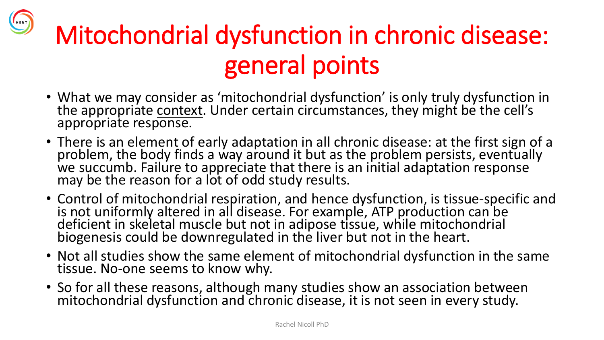## Mitochondrial dysfunction in chronic disease: general points

- What we may consider as 'mitochondrial dysfunction' is only truly dysfunction in the appropriate context. Under certain circumstances, they might be the cell's appropriate response.
- There is an element of early adaptation in all chronic disease: at the first sign of a problem, the body finds a way around it but as the problem persists, eventually we succumb. Failure to appreciate that there is an initial adaptation response may be the reason for a lot of odd study results.
- Control of mitochondrial respiration, and hence dysfunction, is tissue-specific and is not uniformly altered in all disease. For example, ATP production can be deficient in skeletal muscle but not in adipose tissue, while mitochondrial biogenesis could be downregulated in the liver but not in the heart.
- Not all studies show the same element of mitochondrial dysfunction in the same tissue. No-one seems to know why.
- So for all these reasons, although many studies show an association between mitochondrial dysfunction and chronic disease, it is not seen in every study.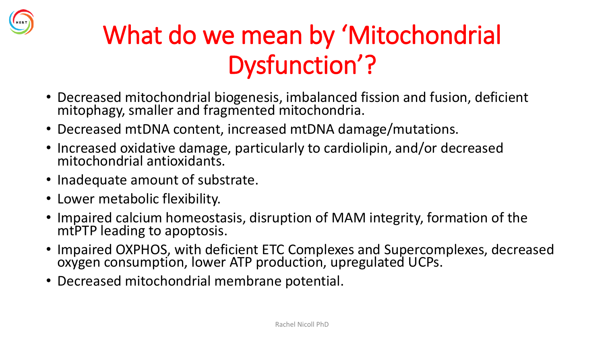

#### What do we mean by 'Mitochondrial Dysfunction'?

- Decreased mitochondrial biogenesis, imbalanced fission and fusion, deficient mitophagy, smaller and fragmented mitochondria.
- Decreased mtDNA content, increased mtDNA damage/mutations.
- Increased oxidative damage, particularly to cardiolipin, and/or decreased mitochondrial antioxidants.
- Inadequate amount of substrate.
- Lower metabolic flexibility.
- Impaired calcium homeostasis, disruption of MAM integrity, formation of the mtPTP leading to apoptosis.
- Impaired OXPHOS, with deficient ETC Complexes and Supercomplexes, decreased oxygen consumption, lower ATP production, upregulated UCPs.
- Decreased mitochondrial membrane potential.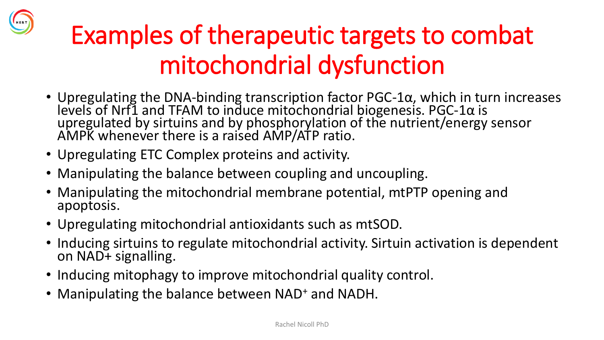

#### Examples of therapeutic targets to combat mitochondrial dysfunction

- Upregulating the DNA-binding transcription factor PGC-1α, which in turn increases levels of Nrf1 and TFAM to induce mitochondrial biogenesis. PGC-1α is upregulated by sirtuins and by phosphorylation of the nutrient/energy sensor AMPK whenever there is a raised AMP/ATP ratio.
- Upregulating ETC Complex proteins and activity.
- Manipulating the balance between coupling and uncoupling.
- Manipulating the mitochondrial membrane potential, mtPTP opening and apoptosis.
- Upregulating mitochondrial antioxidants such as mtSOD.
- Inducing sirtuins to regulate mitochondrial activity. Sirtuin activation is dependent on NAD+ signalling.
- Inducing mitophagy to improve mitochondrial quality control.
- Manipulating the balance between NAD<sup>+</sup> and NADH.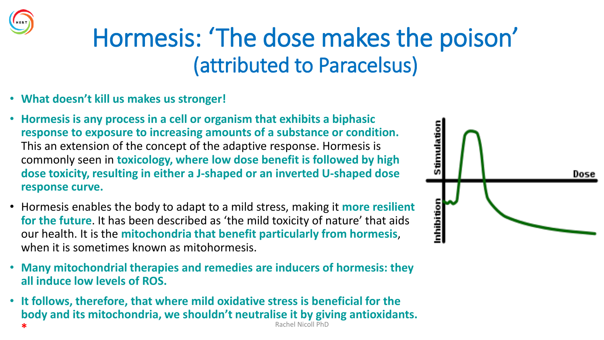#### Hormesis: 'The dose makes the poison' (attributed to Paracelsus)

- **What doesn't kill us makes us stronger!**
- **Hormesis is any process in a cell or organism that exhibits a biphasic response to exposure to increasing amounts of a substance or condition.**  This an extension of the concept of the adaptive response. Hormesis is commonly seen in **toxicology, where low dose benefit is followed by high dose toxicity, resulting in either a J-shaped or an inverted U-shaped dose response curve.**
- Hormesis enables the body to adapt to a mild stress, making it **more resilient for the future**. It has been described as 'the mild toxicity of nature' that aids our health. It is the **mitochondria that benefit particularly from hormesis**, when it is sometimes known as mitohormesis.
- **Many mitochondrial therapies and remedies are inducers of hormesis: they all induce low levels of ROS.**
- **It follows, therefore, that where mild oxidative stress is beneficial for the body and its mitochondria, we shouldn't neutralise it by giving antioxidants. \*** Rachel Nicoll PhD

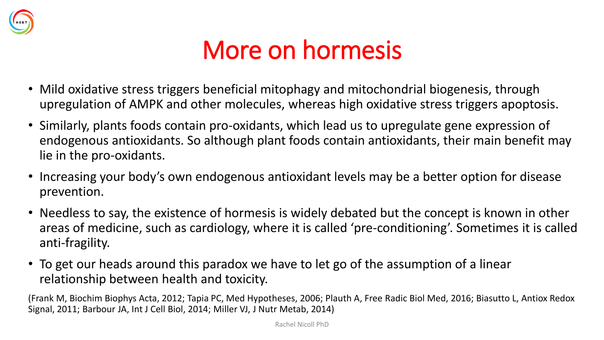

#### More on hormesis

- Mild oxidative stress triggers beneficial mitophagy and mitochondrial biogenesis, through upregulation of AMPK and other molecules, whereas high oxidative stress triggers apoptosis.
- Similarly, plants foods contain pro-oxidants, which lead us to upregulate gene expression of endogenous antioxidants. So although plant foods contain antioxidants, their main benefit may lie in the pro-oxidants.
- Increasing your body's own endogenous antioxidant levels may be a better option for disease prevention.
- Needless to say, the existence of hormesis is widely debated but the concept is known in other areas of medicine, such as cardiology, where it is called 'pre-conditioning'. Sometimes it is called anti-fragility.
- To get our heads around this paradox we have to let go of the assumption of a linear relationship between health and toxicity.

(Frank M, Biochim Biophys Acta, 2012; Tapia PC, Med Hypotheses, 2006; Plauth A, Free Radic Biol Med, 2016; Biasutto L, Antiox Redox Signal, 2011; Barbour JA, Int J Cell Biol, 2014; Miller VJ, J Nutr Metab, 2014)